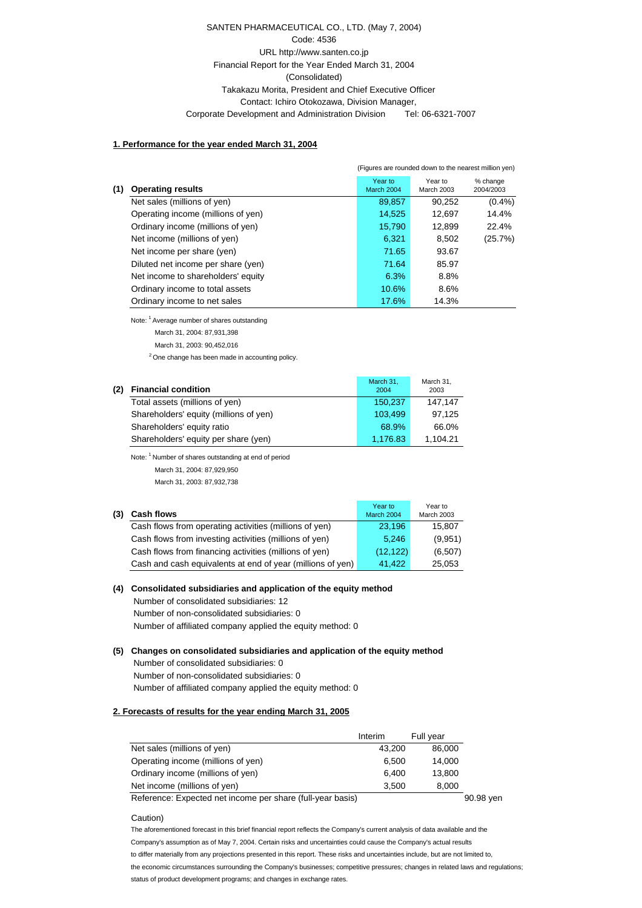## SANTEN PHARMACEUTICAL CO., LTD. (May 7, 2004) Code: 4536 URL http://www.santen.co.jp Financial Report for the Year Ended March 31, 2004 (Consolidated) Takakazu Morita, President and Chief Executive Officer Contact: Ichiro Otokozawa, Division Manager, Corporate Development and Administration Division Tel: 06-6321-7007

#### **1. Performance for the year ended March 31, 2004**

|     |                                    |                       | (Figures are rounded down to the nearest million yen) |                       |
|-----|------------------------------------|-----------------------|-------------------------------------------------------|-----------------------|
| (1) | <b>Operating results</b>           | Year to<br>March 2004 | Year to<br><b>March 2003</b>                          | % change<br>2004/2003 |
|     | Net sales (millions of yen)        | 89,857                | 90.252                                                | $(0.4\%)$             |
|     | Operating income (millions of yen) | 14,525                | 12.697                                                | 14.4%                 |
|     | Ordinary income (millions of yen)  | 15,790                | 12,899                                                | 22.4%                 |
|     | Net income (millions of yen)       | 6.321                 | 8.502                                                 | (25.7%)               |
|     | Net income per share (yen)         | 71.65                 | 93.67                                                 |                       |
|     | Diluted net income per share (yen) | 71.64                 | 85.97                                                 |                       |
|     | Net income to shareholders' equity | 6.3%                  | 8.8%                                                  |                       |
|     | Ordinary income to total assets    | 10.6%                 | 8.6%                                                  |                       |
|     | Ordinary income to net sales       | 17.6%                 | 14.3%                                                 |                       |

Note: 1 Average number of shares outstanding

March 31, 2004: 87,931,398

March 31, 2003: 90,452,016

<sup>2</sup> One change has been made in accounting policy.

| (2) | <b>Financial condition</b>             | March 31,<br>2004 | March 31,<br>2003 |
|-----|----------------------------------------|-------------------|-------------------|
|     | Total assets (millions of yen)         | 150.237           | 147.147           |
|     | Shareholders' equity (millions of yen) | 103.499           | 97.125            |
|     | Shareholders' equity ratio             | 68.9%             | 66.0%             |
|     | Shareholders' equity per share (yen)   | 1.176.83          | 1.104.21          |

Note: 1 Number of shares outstanding at end of period

March 31, 2004: 87,929,950

March 31, 2003: 87,932,738

**(3) Cash flows** Year to March 2004 Year to March 2003 Cash flows from operating activities (millions of yen) 23,196 15,807 Cash flows from investing activities (millions of yen) 5.246 (9.951) Cash flows from financing activities (millions of yen) (12,122) (6,507) Cash and cash equivalents at end of year (millions of yen) 41,422 25,053

## **(4) Consolidated subsidiaries and application of the equity method**

 Number of consolidated subsidiaries: 12 Number of non-consolidated subsidiaries: 0 Number of affiliated company applied the equity method: 0

- **(5) Changes on consolidated subsidiaries and application of the equity method**
	- Number of consolidated subsidiaries: 0 Number of non-consolidated subsidiaries: 0

Number of affiliated company applied the equity method: 0

#### **2. Forecasts of results for the year ending March 31, 2005**

|                                                            | Interim | Full year |           |
|------------------------------------------------------------|---------|-----------|-----------|
| Net sales (millions of yen)                                | 43.200  | 86,000    |           |
| Operating income (millions of yen)                         | 6.500   | 14.000    |           |
| Ordinary income (millions of yen)                          | 6.400   | 13.800    |           |
| Net income (millions of yen)                               | 3.500   | 8.000     |           |
| Reference: Expected net income per share (full-year basis) |         |           | 90.98 yen |

Caution)

The aforementioned forecast in this brief financial report reflects the Company's current analysis of data available and the Company's assumption as of May 7, 2004. Certain risks and uncertainties could cause the Company's actual results to differ materially from any projections presented in this report. These risks and uncertainties include, but are not limited to, the economic circumstances surrounding the Company's businesses; competitive pressures; changes in related laws and regulations; status of product development programs; and changes in exchange rates.